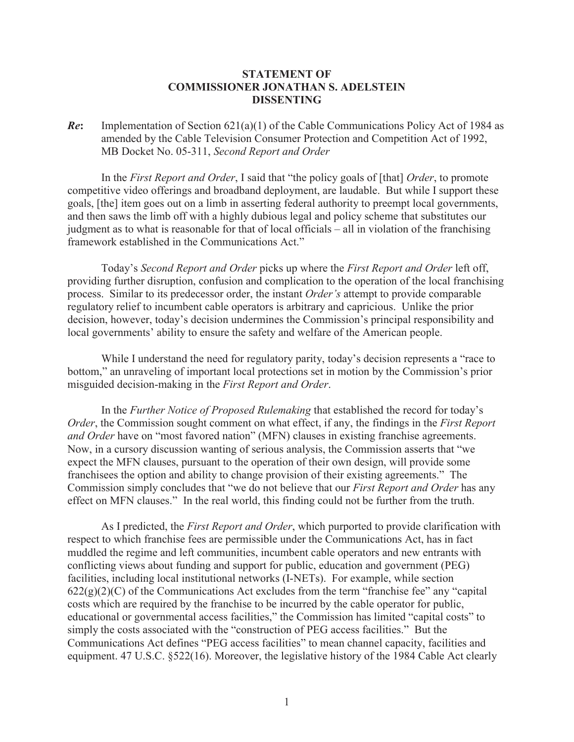## **STATEMENT OF COMMISSIONER JONATHAN S. ADELSTEIN DISSENTING**

*Re***:** Implementation of Section 621(a)(1) of the Cable Communications Policy Act of 1984 as amended by the Cable Television Consumer Protection and Competition Act of 1992, MB Docket No. 05-311, *Second Report and Order*

In the *First Report and Order*, I said that "the policy goals of [that] *Order*, to promote competitive video offerings and broadband deployment, are laudable. But while I support these goals, [the] item goes out on a limb in asserting federal authority to preempt local governments, and then saws the limb off with a highly dubious legal and policy scheme that substitutes our judgment as to what is reasonable for that of local officials – all in violation of the franchising framework established in the Communications Act."

Today's *Second Report and Order* picks up where the *First Report and Order* left off, providing further disruption, confusion and complication to the operation of the local franchising process. Similar to its predecessor order, the instant *Order's* attempt to provide comparable regulatory relief to incumbent cable operators is arbitrary and capricious. Unlike the prior decision, however, today's decision undermines the Commission's principal responsibility and local governments' ability to ensure the safety and welfare of the American people.

While I understand the need for regulatory parity, today's decision represents a "race to bottom," an unraveling of important local protections set in motion by the Commission's prior misguided decision-making in the *First Report and Order*.

In the *Further Notice of Proposed Rulemaking* that established the record for today's *Order*, the Commission sought comment on what effect, if any, the findings in the *First Report and Order* have on "most favored nation" (MFN) clauses in existing franchise agreements. Now, in a cursory discussion wanting of serious analysis, the Commission asserts that "we expect the MFN clauses, pursuant to the operation of their own design, will provide some franchisees the option and ability to change provision of their existing agreements." The Commission simply concludes that "we do not believe that our *First Report and Order* has any effect on MFN clauses." In the real world, this finding could not be further from the truth.

As I predicted, the *First Report and Order*, which purported to provide clarification with respect to which franchise fees are permissible under the Communications Act, has in fact muddled the regime and left communities, incumbent cable operators and new entrants with conflicting views about funding and support for public, education and government (PEG) facilities, including local institutional networks (I-NETs). For example, while section  $622(g)(2)(C)$  of the Communications Act excludes from the term "franchise fee" any "capital costs which are required by the franchise to be incurred by the cable operator for public, educational or governmental access facilities," the Commission has limited "capital costs" to simply the costs associated with the "construction of PEG access facilities." But the Communications Act defines "PEG access facilities" to mean channel capacity, facilities and equipment. 47 U.S.C. §522(16). Moreover, the legislative history of the 1984 Cable Act clearly